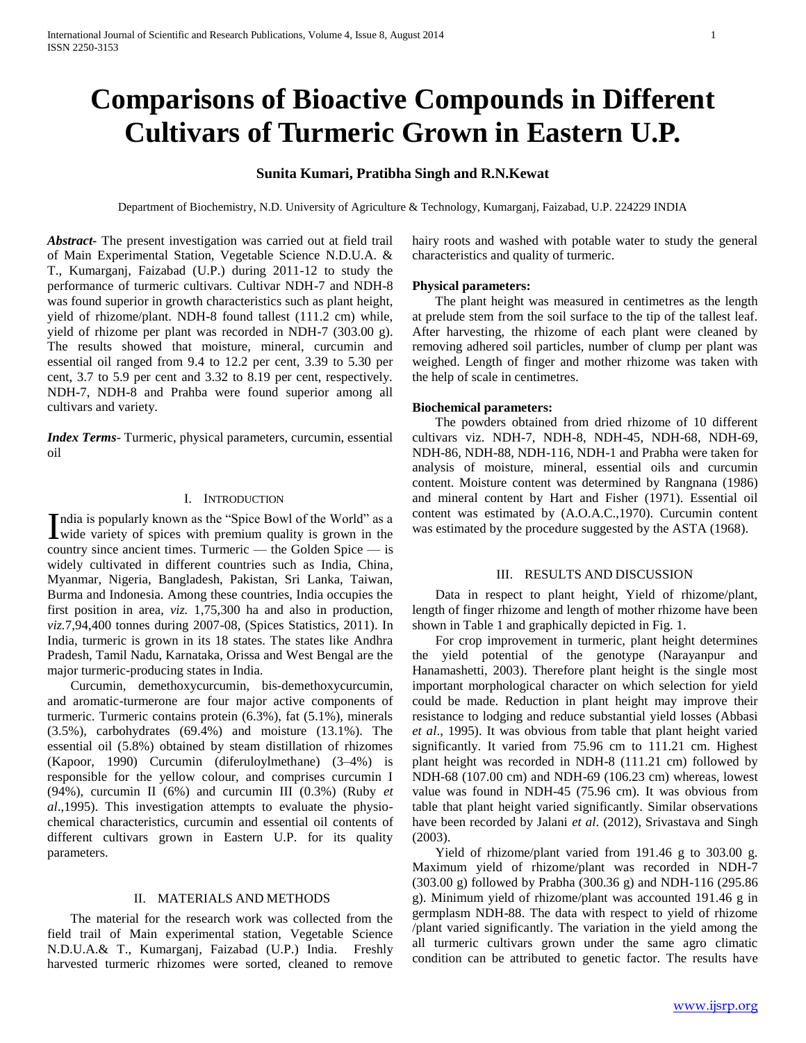# **Comparisons of Bioactive Compounds in Different Cultivars of Turmeric Grown in Eastern U.P.**

# **Sunita Kumari, Pratibha Singh and R.N.Kewat**

Department of Biochemistry, N.D. University of Agriculture & Technology, Kumarganj, Faizabad, U.P. 224229 INDIA

*Abstract***-** The present investigation was carried out at field trail of Main Experimental Station, Vegetable Science N.D.U.A. & T., Kumarganj, Faizabad (U.P.) during 2011-12 to study the performance of turmeric cultivars. Cultivar NDH-7 and NDH-8 was found superior in growth characteristics such as plant height, yield of rhizome/plant. NDH-8 found tallest (111.2 cm) while, yield of rhizome per plant was recorded in NDH-7 (303.00 g). The results showed that moisture, mineral, curcumin and essential oil ranged from 9.4 to 12.2 per cent, 3.39 to 5.30 per cent, 3.7 to 5.9 per cent and 3.32 to 8.19 per cent, respectively. NDH-7, NDH-8 and Prahba were found superior among all cultivars and variety.

*Index Terms*- Turmeric, physical parameters, curcumin, essential oil

# I. INTRODUCTION

ndia is popularly known as the "Spice Bowl of the World" as a India is popularly known as the "Spice Bowl of the World" as a wide variety of spices with premium quality is grown in the country since ancient times. Turmeric — the Golden Spice — is widely cultivated in different countries such as India, China, Myanmar, Nigeria, Bangladesh, Pakistan, Sri Lanka, Taiwan, Burma and Indonesia. Among these countries, India occupies the first position in area, *viz.* 1,75,300 ha and also in production, *viz.*7,94,400 tonnes during 2007-08, (Spices Statistics*,* 2011). In India, turmeric is grown in its 18 states. The states like Andhra Pradesh, Tamil Nadu, Karnataka, Orissa and West Bengal are the major turmeric-producing states in India.

 Curcumin, demethoxycurcumin, bis-demethoxycurcumin, and aromatic-turmerone are four major active components of turmeric. Turmeric contains protein (6.3%), fat (5.1%), minerals (3.5%), carbohydrates (69.4%) and moisture (13.1%). The essential oil (5.8%) obtained by steam distillation of rhizomes (Kapoor, 1990) Curcumin (diferuloylmethane) (3–4%) is responsible for the yellow colour, and comprises curcumin I (94%), curcumin II (6%) and curcumin III (0.3%) (Ruby *et al*.,1995). This investigation attempts to evaluate the physiochemical characteristics, curcumin and essential oil contents of different cultivars grown in Eastern U.P. for its quality parameters.

# II. MATERIALS AND METHODS

 The material for the research work was collected from the field trail of Main experimental station, Vegetable Science N.D.U.A.& T., Kumarganj, Faizabad (U.P.) India. Freshly harvested turmeric rhizomes were sorted, cleaned to remove

hairy roots and washed with potable water to study the general characteristics and quality of turmeric.

#### **Physical parameters:**

 The plant height was measured in centimetres as the length at prelude stem from the soil surface to the tip of the tallest leaf. After harvesting, the rhizome of each plant were cleaned by removing adhered soil particles, number of clump per plant was weighed. Length of finger and mother rhizome was taken with the help of scale in centimetres.

#### **Biochemical parameters:**

 The powders obtained from dried rhizome of 10 different cultivars viz. NDH-7, NDH-8, NDH-45, NDH-68, NDH-69, NDH-86, NDH-88, NDH-116, NDH-1 and Prabha were taken for analysis of moisture, mineral, essential oils and curcumin content. Moisture content was determined by Rangnana (1986) and mineral content by Hart and Fisher (1971). Essential oil content was estimated by (A.O.A.C.,1970). Curcumin content was estimated by the procedure suggested by the ASTA (1968).

## III. RESULTS AND DISCUSSION

 Data in respect to plant height, Yield of rhizome/plant, length of finger rhizome and length of mother rhizome have been shown in Table 1 and graphically depicted in Fig. 1.

 For crop improvement in turmeric, plant height determines the yield potential of the genotype (Narayanpur and Hanamashetti, 2003). Therefore plant height is the single most important morphological character on which selection for yield could be made. Reduction in plant height may improve their resistance to lodging and reduce substantial yield losses (Abbasi *et al*., 1995). It was obvious from table that plant height varied significantly. It varied from 75.96 cm to 111.21 cm. Highest plant height was recorded in NDH-8 (111.21 cm) followed by NDH-68 (107.00 cm) and NDH-69 (106.23 cm) whereas, lowest value was found in NDH-45 (75.96 cm). It was obvious from table that plant height varied significantly. Similar observations have been recorded by Jalani *et al*. (2012), Srivastava and Singh (2003).

 Yield of rhizome/plant varied from 191.46 g to 303.00 g. Maximum yield of rhizome/plant was recorded in NDH-7 (303.00 g) followed by Prabha (300.36 g) and NDH-116 (295.86 g). Minimum yield of rhizome/plant was accounted 191.46 g in germplasm NDH-88. The data with respect to yield of rhizome /plant varied significantly. The variation in the yield among the all turmeric cultivars grown under the same agro climatic condition can be attributed to genetic factor. The results have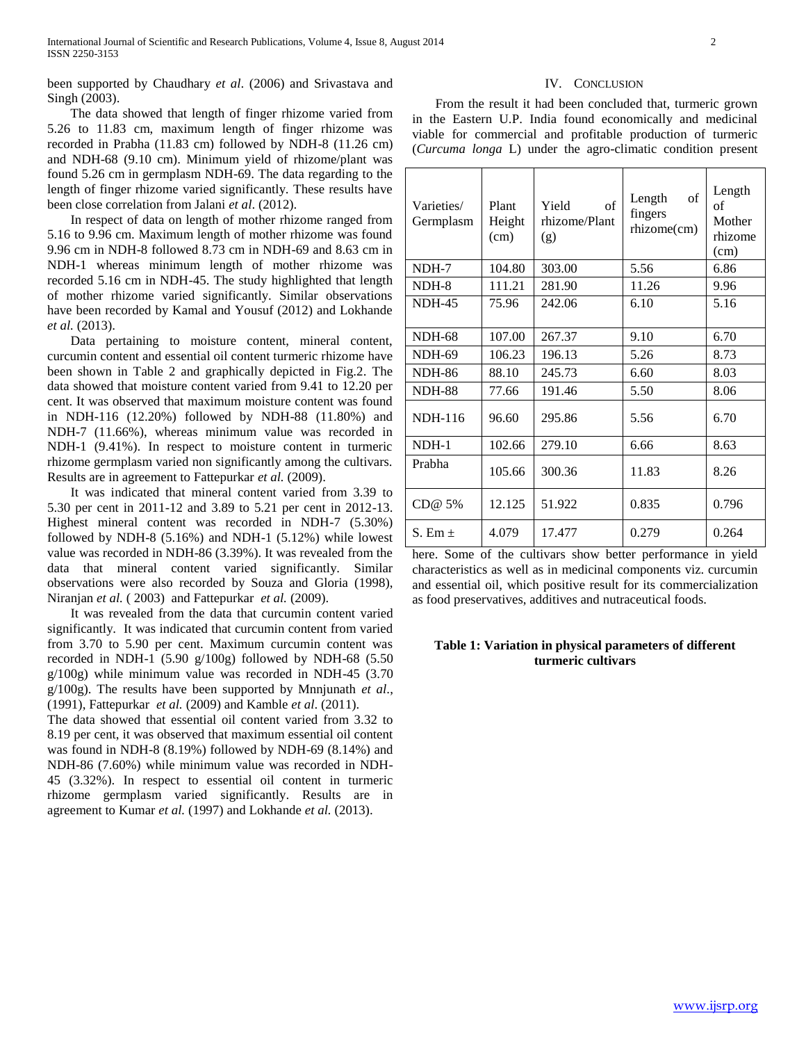been supported by Chaudhary *et al*. (2006) and Srivastava and Singh (2003).

 The data showed that length of finger rhizome varied from 5.26 to 11.83 cm, maximum length of finger rhizome was recorded in Prabha (11.83 cm) followed by NDH-8 (11.26 cm) and NDH-68 (9.10 cm). Minimum yield of rhizome/plant was found 5.26 cm in germplasm NDH-69. The data regarding to the length of finger rhizome varied significantly. These results have been close correlation from Jalani *et al*. (2012).

 In respect of data on length of mother rhizome ranged from 5.16 to 9.96 cm. Maximum length of mother rhizome was found 9.96 cm in NDH-8 followed 8.73 cm in NDH-69 and 8.63 cm in NDH-1 whereas minimum length of mother rhizome was recorded 5.16 cm in NDH-45. The study highlighted that length of mother rhizome varied significantly. Similar observations have been recorded by Kamal and Yousuf (2012) and Lokhande *et al.* (2013).

 Data pertaining to moisture content, mineral content, curcumin content and essential oil content turmeric rhizome have been shown in Table 2 and graphically depicted in Fig.2. The data showed that moisture content varied from 9.41 to 12.20 per cent. It was observed that maximum moisture content was found in NDH-116 (12.20%) followed by NDH-88 (11.80%) and NDH-7 (11.66%), whereas minimum value was recorded in NDH-1 (9.41%). In respect to moisture content in turmeric rhizome germplasm varied non significantly among the cultivars. Results are in agreement to Fattepurkar *et al.* (2009).

 It was indicated that mineral content varied from 3.39 to 5.30 per cent in 2011-12 and 3.89 to 5.21 per cent in 2012-13. Highest mineral content was recorded in NDH-7 (5.30%) followed by NDH-8  $(5.16\%)$  and NDH-1  $(5.12\%)$  while lowest value was recorded in NDH-86 (3.39%). It was revealed from the data that mineral content varied significantly. Similar observations were also recorded by Souza and Gloria (1998), Niranjan *et al.* ( 2003) and Fattepurkar *et al.* (2009).

 It was revealed from the data that curcumin content varied significantly. It was indicated that curcumin content from varied from 3.70 to 5.90 per cent. Maximum curcumin content was recorded in NDH-1 (5.90 g/100g) followed by NDH-68 (5.50 g/100g) while minimum value was recorded in NDH-45 (3.70 g/100g). The results have been supported by Mnnjunath *et al*., (1991), Fattepurkar *et al.* (2009) and Kamble *et al*. (2011).

The data showed that essential oil content varied from 3.32 to 8.19 per cent, it was observed that maximum essential oil content was found in NDH-8 (8.19%) followed by NDH-69 (8.14%) and NDH-86 (7.60%) while minimum value was recorded in NDH-45 (3.32%). In respect to essential oil content in turmeric rhizome germplasm varied significantly. Results are in agreement to Kumar *et al.* (1997) and Lokhande *et al.* (2013).

#### IV. CONCLUSION

 From the result it had been concluded that, turmeric grown in the Eastern U.P. India found economically and medicinal viable for commercial and profitable production of turmeric (*Curcuma longa* L) under the agro-climatic condition present

| Varieties/<br>Germplasm | Plant<br>Height<br>(cm) | Yield<br>of<br>rhizome/Plant<br>(g) | $% \left( \left( \mathcal{A},\mathcal{A}\right) \right) =\left( \mathcal{A},\mathcal{A}\right)$ of<br>Length<br>fingers<br>rhizome(cm) | Length<br>of<br>Mother<br>rhizome<br>(cm) |
|-------------------------|-------------------------|-------------------------------------|----------------------------------------------------------------------------------------------------------------------------------------|-------------------------------------------|
| NDH-7                   | 104.80                  | 303.00                              | 5.56                                                                                                                                   | 6.86                                      |
| NDH-8                   | 111.21                  | 281.90                              | 11.26                                                                                                                                  | 9.96                                      |
| <b>NDH-45</b>           | 75.96                   | 242.06                              | 6.10                                                                                                                                   | 5.16                                      |
| <b>NDH-68</b>           | 107.00                  | 267.37                              | 9.10                                                                                                                                   | 6.70                                      |
| <b>NDH-69</b>           | 106.23                  | 196.13                              | 5.26                                                                                                                                   | 8.73                                      |
| <b>NDH-86</b>           | 88.10                   | 245.73                              | 6.60                                                                                                                                   | 8.03                                      |
| <b>NDH-88</b>           | 77.66                   | 191.46                              | 5.50                                                                                                                                   | 8.06                                      |
| <b>NDH-116</b>          | 96.60                   | 295.86                              | 5.56                                                                                                                                   | 6.70                                      |
| NDH-1                   | 102.66                  | 279.10                              | 6.66                                                                                                                                   | 8.63                                      |
| Prabha                  | 105.66                  | 300.36                              | 11.83                                                                                                                                  | 8.26                                      |
| CD@ 5%                  | 12.125                  | 51.922                              | 0.835                                                                                                                                  | 0.796                                     |
| S. Em $\pm$             | 4.079                   | 17.477                              | 0.279                                                                                                                                  | 0.264                                     |

here. Some of the cultivars show better performance in yield characteristics as well as in medicinal components viz. curcumin and essential oil, which positive result for its commercialization as food preservatives, additives and nutraceutical foods.

## **Table 1: Variation in physical parameters of different turmeric cultivars**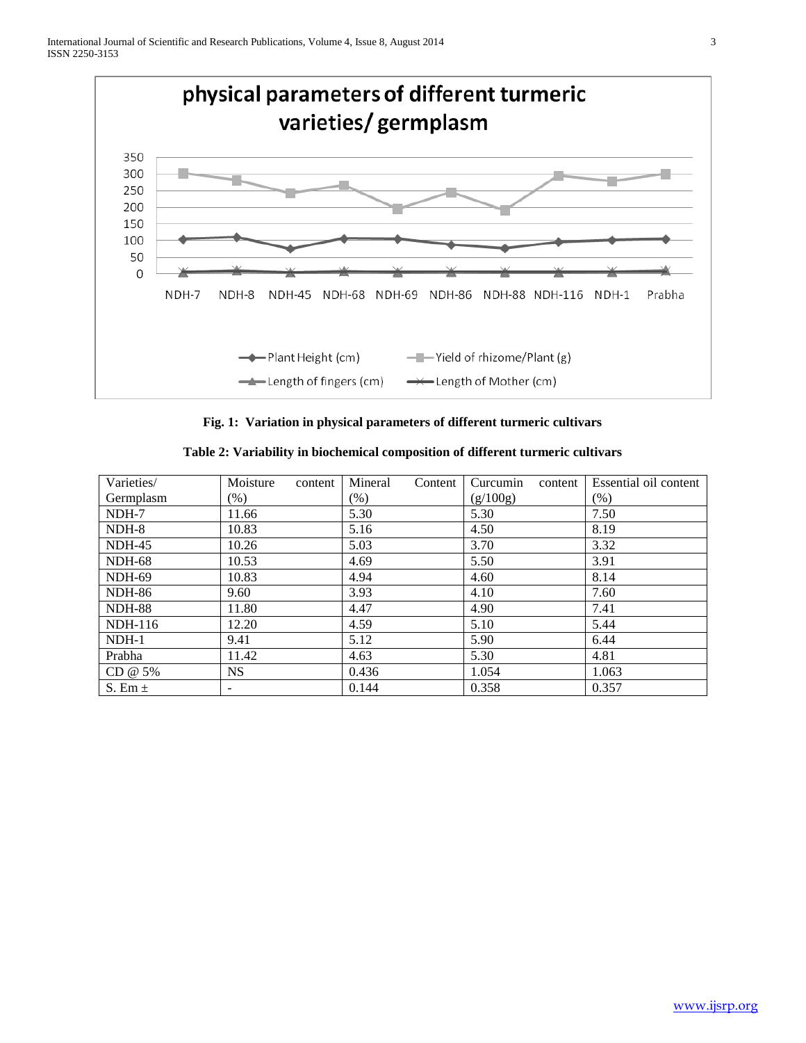

**Fig. 1: Variation in physical parameters of different turmeric cultivars**

| Varieties/     | Moisture<br>content | Mineral<br>Content | Curcumin<br>content | Essential oil content |
|----------------|---------------------|--------------------|---------------------|-----------------------|
| Germplasm      | $(\%)$              | $(\%)$             | (g/100g)            | (% )                  |
| NDH-7          | 11.66               | 5.30               | 5.30                | 7.50                  |
| NDH-8          | 10.83               | 5.16               | 4.50                | 8.19                  |
| $NDH-45$       | 10.26               | 5.03               | 3.70                | 3.32                  |
| <b>NDH-68</b>  | 10.53               | 4.69               | 5.50                | 3.91                  |
| NDH-69         | 10.83               | 4.94               | 4.60                | 8.14                  |
| <b>NDH-86</b>  | 9.60                | 3.93               | 4.10                | 7.60                  |
| <b>NDH-88</b>  | 11.80               | 4.47               | 4.90                | 7.41                  |
| <b>NDH-116</b> | 12.20               | 4.59               | 5.10                | 5.44                  |
| $NDH-1$        | 9.41                | 5.12               | 5.90                | 6.44                  |
| Prabha         | 11.42               | 4.63               | 5.30                | 4.81                  |
| CD @ 5%        | <b>NS</b>           | 0.436              | 1.054               | 1.063                 |
| S. Em $\pm$    |                     | 0.144              | 0.358               | 0.357                 |

**Table 2: Variability in biochemical composition of different turmeric cultivars**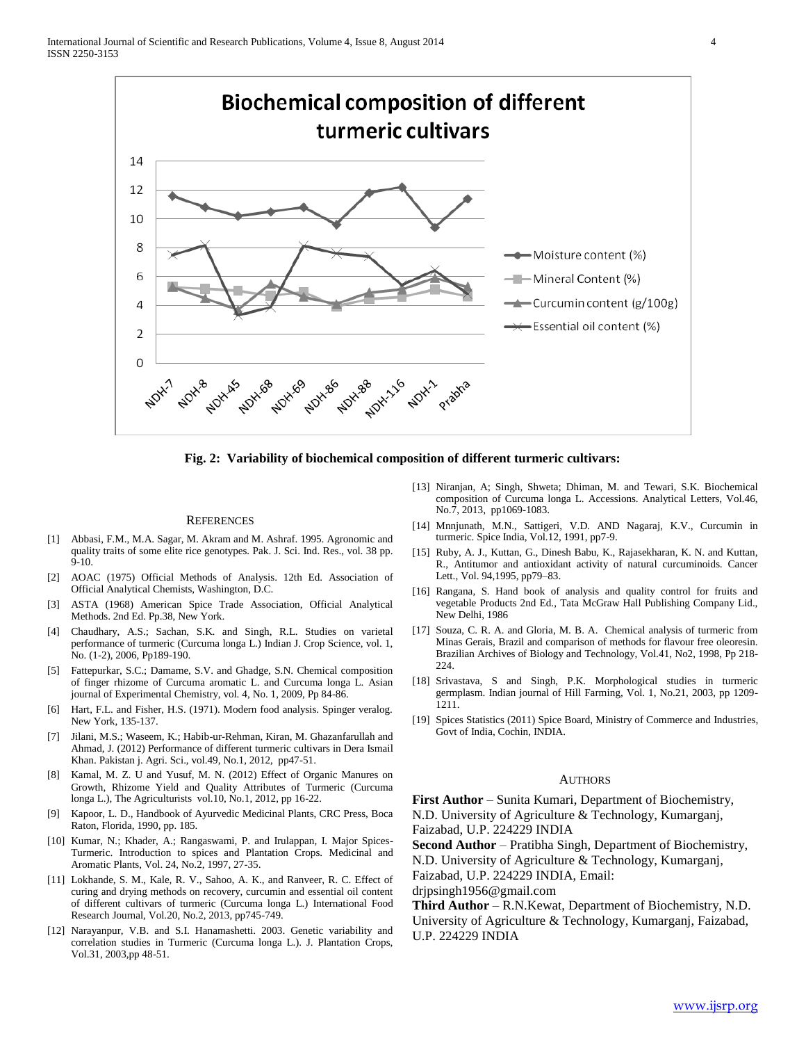

**Fig. 2: Variability of biochemical composition of different turmeric cultivars:**

#### **REFERENCES**

- [1] Abbasi, F.M., M.A. Sagar, M. Akram and M. Ashraf. 1995. Agronomic and quality traits of some elite rice genotypes. Pak. J. Sci. Ind. Res., vol. 38 pp. 9-10.
- [2] AOAC (1975) Official Methods of Analysis. 12th Ed. Association of Official Analytical Chemists, Washington, D.C.
- [3] ASTA (1968) American Spice Trade Association, Official Analytical Methods. 2nd Ed. Pp.38, New York.
- [4] Chaudhary, A.S.; Sachan, S.K. and Singh, R.L. Studies on varietal performance of turmeric (Curcuma longa L.) Indian J. Crop Science, vol. 1, No. (1-2), 2006, Pp189-190.
- [5] Fattepurkar, S.C.; Damame, S.V. and Ghadge, S.N. Chemical composition of finger rhizome of Curcuma aromatic L. and Curcuma longa L. Asian journal of Experimental Chemistry, vol. 4, No. 1, 2009, Pp 84-86.
- [6] Hart, F.L. and Fisher, H.S. (1971). Modern food analysis. Spinger veralog. New York, 135-137.
- [7] Jilani, M.S.; Waseem, K.; Habib-ur-Rehman, Kiran, M. Ghazanfarullah and Ahmad, J. (2012) Performance of different turmeric cultivars in Dera Ismail Khan. Pakistan j. Agri. Sci., vol.49, No.1, 2012, pp47-51.
- [8] Kamal, M. Z. U and Yusuf, M. N. (2012) Effect of Organic Manures on Growth, Rhizome Yield and Quality Attributes of Turmeric (Curcuma longa L.), The Agriculturists vol.10, No.1, 2012, pp 16-22.
- [9] Kapoor, L. D., Handbook of Ayurvedic Medicinal Plants, CRC Press, Boca Raton, Florida, 1990, pp. 185.
- [10] Kumar, N.; Khader, A.; Rangaswami, P. and Irulappan, I. Major Spices-Turmeric. Introduction to spices and Plantation Crops. Medicinal and Aromatic Plants, Vol. 24, No.2, 1997, 27-35.
- [11] Lokhande, S. M., Kale, R. V., Sahoo, A. K., and Ranveer, R. C. Effect of curing and drying methods on recovery, curcumin and essential oil content of different cultivars of turmeric (Curcuma longa L.) International Food Research Journal, Vol.20, No.2, 2013, pp745-749.
- [12] Narayanpur, V.B. and S.I. Hanamashetti. 2003. Genetic variability and correlation studies in Turmeric (Curcuma longa L.). J. Plantation Crops, Vol.31, 2003,pp 48-51.
- [13] Niranjan, A; Singh, Shweta; Dhiman, M. and Tewari, S.K. Biochemical composition of Curcuma longa L. Accessions. Analytical Letters, Vol.46, No.7, 2013, pp1069-1083.
- [14] Mnnjunath, M.N., Sattigeri, V.D. AND Nagaraj, K.V., Curcumin in turmeric. Spice India, Vol.12, 1991, pp7-9.
- [15] Ruby, A. J., Kuttan, G., Dinesh Babu, K., Rajasekharan, K. N. and Kuttan, R., Antitumor and antioxidant activity of natural curcuminoids. Cancer Lett., Vol. 94,1995, pp79–83.
- [16] Rangana, S. Hand book of analysis and quality control for fruits and vegetable Products 2nd Ed., Tata McGraw Hall Publishing Company Lid., New Delhi, 1986
- [17] Souza, C. R. A. and Gloria, M. B. A. Chemical analysis of turmeric from Minas Gerais, Brazil and comparison of methods for flavour free oleoresin. Brazilian Archives of Biology and Technology, Vol.41, No2, 1998, Pp 218- 224.
- [18] Srivastava, S and Singh, P.K. Morphological studies in turmeric germplasm. Indian journal of Hill Farming, Vol. 1, No.21, 2003, pp 1209- 1211.
- [19] Spices Statistics (2011) Spice Board, Ministry of Commerce and Industries, Govt of India, Cochin, INDIA.

#### AUTHORS

**First Author** – Sunita Kumari, Department of Biochemistry, N.D. University of Agriculture & Technology, Kumarganj, Faizabad, U.P. 224229 INDIA

**Second Author** – Pratibha Singh, Department of Biochemistry, N.D. University of Agriculture & Technology, Kumarganj,

Faizabad, U.P. 224229 INDIA, Email:

drjpsingh1956@gmail.com

**Third Author** – R.N.Kewat, Department of Biochemistry, N.D. University of Agriculture & Technology, Kumarganj, Faizabad, U.P. 224229 INDIA